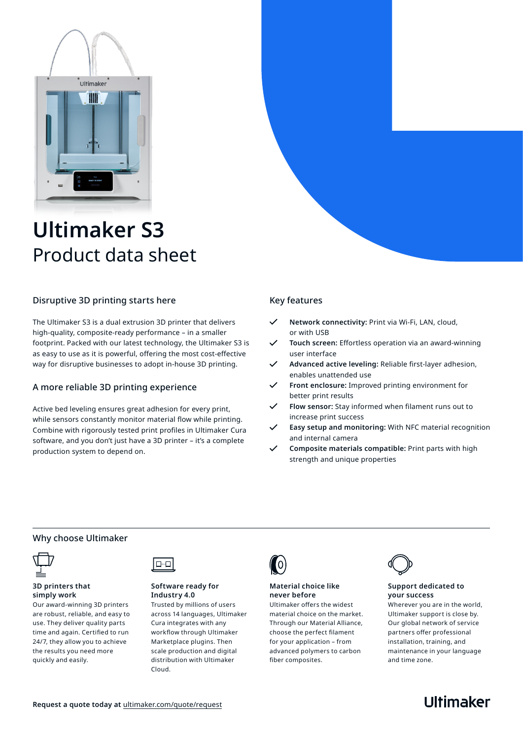

# **Ultimaker S3** Product data sheet

## Disruptive 3D printing starts here

The Ultimaker S3 is a dual extrusion 3D printer that delivers high-quality, composite-ready performance – in a smaller footprint. Packed with our latest technology, the Ultimaker S3 is as easy to use as it is powerful, offering the most cost-effective way for disruptive businesses to adopt in-house 3D printing.

## A more reliable 3D printing experience

Active bed leveling ensures great adhesion for every print, while sensors constantly monitor material flow while printing. Combine with rigorously tested print profiles in Ultimaker Cura software, and you don't just have a 3D printer – it's a complete production system to depend on.

## Key features

- **Network connectivity:** Print via Wi-Fi, LAN, cloud, or with USB
- **Touch screen:** Effortless operation via an award-winning user interface
- **Advanced active leveling:** Reliable first-layer adhesion, enables unattended use
- **Front enclosure:** Improved printing environment for better print results
- **Flow sensor:** Stay informed when filament runs out to increase print success
- **Easy setup and monitoring:** With NFC material recognition and internal camera
- **Composite materials compatible:** Print parts with high strength and unique properties

## Why choose Ultimaker



#### **3D printers that simply work**

Our award-winning 3D printers are robust, reliable, and easy to use. They deliver quality parts time and again. Certified to run 24/7, they allow you to achieve the results you need more quickly and easily.



#### **Software ready for Industry 4.0**

Trusted by millions of users across 14 languages, Ultimaker Cura integrates with any workflow through Ultimaker Marketplace plugins. Then scale production and digital distribution with Ultimaker Cloud.



## **Material choice like never before**

Ultimaker offers the widest material choice on the market. Through our Material Alliance, choose the perfect filament for your application – from advanced polymers to carbon fiber composites.



#### **Support dedicated to your success**

Wherever you are in the world, Ultimaker support is close by. Our global network of service partners offer professional installation, training, and maintenance in your language and time zone.